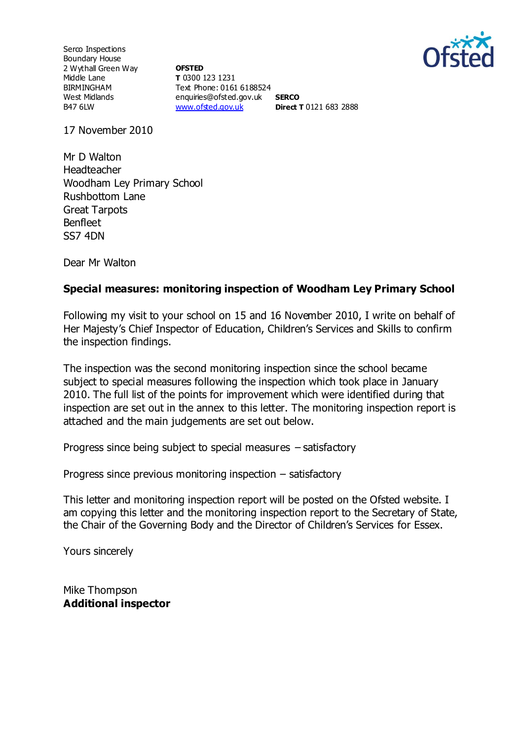

Serco Inspections Boundary House 2 Wythall Green Way Middle Lane BIRMINGHAM West Midlands B47 6LW

**OFSTED T** 0300 123 1231 Text Phone: 0161 6188524 enquiries@ofsted.gov.uk **SERCO** [www.ofsted.gov.uk](http://www.ofsted.gov.uk/) **Direct T** 0121 683 2888

17 November 2010

Mr D Walton Headteacher Woodham Ley Primary School Rushbottom Lane Great Tarpots Benfleet SS7 4DN

Dear Mr Walton

## **Special measures: monitoring inspection of Woodham Ley Primary School**

Following my visit to your school on 15 and 16 November 2010, I write on behalf of Her Majesty's Chief Inspector of Education, Children's Services and Skills to confirm the inspection findings.

The inspection was the second monitoring inspection since the school became subject to special measures following the inspection which took place in January 2010. The full list of the points for improvement which were identified during that inspection are set out in the annex to this letter. The monitoring inspection report is attached and the main judgements are set out below.

Progress since being subject to special measures – satisfactory

Progress since previous monitoring inspection – satisfactory

This letter and monitoring inspection report will be posted on the Ofsted website. I am copying this letter and the monitoring inspection report to the Secretary of State, the Chair of the Governing Body and the Director of Children's Services for Essex.

Yours sincerely

Mike Thompson **Additional inspector**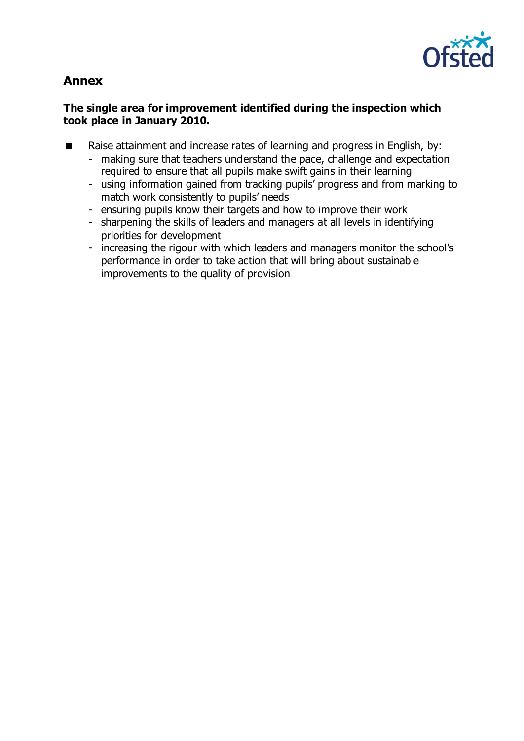

# **Annex**

# **The single area for improvement identified during the inspection which took place in January 2010.**

- Raise attainment and increase rates of learning and progress in English, by:
	- making sure that teachers understand the pace, challenge and expectation required to ensure that all pupils make swift gains in their learning
	- using information gained from tracking pupils' progress and from marking to match work consistently to pupils' needs
	- ensuring pupils know their targets and how to improve their work
	- sharpening the skills of leaders and managers at all levels in identifying priorities for development
	- increasing the rigour with which leaders and managers monitor the school's performance in order to take action that will bring about sustainable improvements to the quality of provision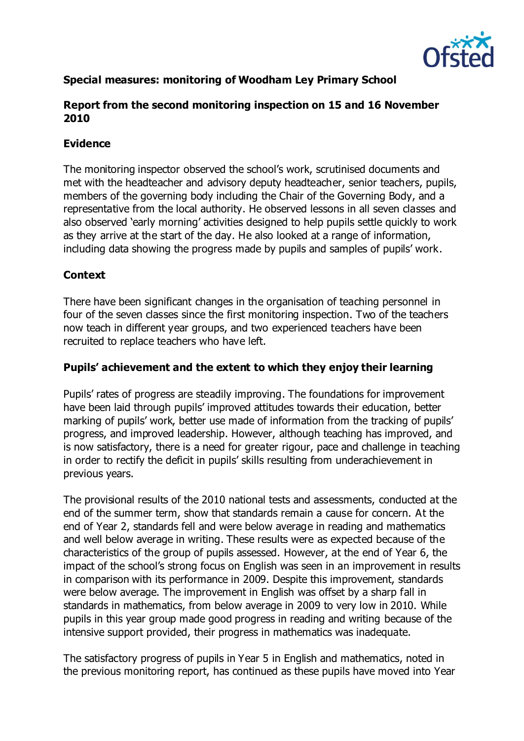

# **Special measures: monitoring of Woodham Ley Primary School**

# **Report from the second monitoring inspection on 15 and 16 November 2010**

# **Evidence**

The monitoring inspector observed the school's work, scrutinised documents and met with the headteacher and advisory deputy headteacher, senior teachers, pupils, members of the governing body including the Chair of the Governing Body, and a representative from the local authority. He observed lessons in all seven classes and also observed 'early morning' activities designed to help pupils settle quickly to work as they arrive at the start of the day. He also looked at a range of information, including data showing the progress made by pupils and samples of pupils' work.

## **Context**

There have been significant changes in the organisation of teaching personnel in four of the seven classes since the first monitoring inspection. Two of the teachers now teach in different year groups, and two experienced teachers have been recruited to replace teachers who have left.

# **Pupils' achievement and the extent to which they enjoy their learning**

Pupils' rates of progress are steadily improving. The foundations for improvement have been laid through pupils' improved attitudes towards their education, better marking of pupils' work, better use made of information from the tracking of pupils' progress, and improved leadership. However, although teaching has improved, and is now satisfactory, there is a need for greater rigour, pace and challenge in teaching in order to rectify the deficit in pupils' skills resulting from underachievement in previous years.

The provisional results of the 2010 national tests and assessments, conducted at the end of the summer term, show that standards remain a cause for concern. At the end of Year 2, standards fell and were below average in reading and mathematics and well below average in writing. These results were as expected because of the characteristics of the group of pupils assessed. However, at the end of Year 6, the impact of the school's strong focus on English was seen in an improvement in results in comparison with its performance in 2009. Despite this improvement, standards were below average. The improvement in English was offset by a sharp fall in standards in mathematics, from below average in 2009 to very low in 2010. While pupils in this year group made good progress in reading and writing because of the intensive support provided, their progress in mathematics was inadequate.

The satisfactory progress of pupils in Year 5 in English and mathematics, noted in the previous monitoring report, has continued as these pupils have moved into Year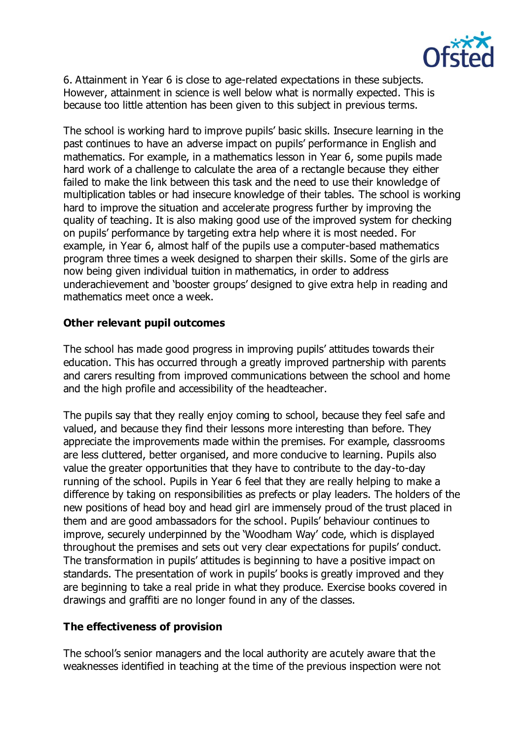

6. Attainment in Year 6 is close to age-related expectations in these subjects. However, attainment in science is well below what is normally expected. This is because too little attention has been given to this subject in previous terms.

The school is working hard to improve pupils' basic skills. Insecure learning in the past continues to have an adverse impact on pupils' performance in English and mathematics. For example, in a mathematics lesson in Year 6, some pupils made hard work of a challenge to calculate the area of a rectangle because they either failed to make the link between this task and the need to use their knowledge of multiplication tables or had insecure knowledge of their tables. The school is working hard to improve the situation and accelerate progress further by improving the quality of teaching. It is also making good use of the improved system for checking on pupils' performance by targeting extra help where it is most needed. For example, in Year 6, almost half of the pupils use a computer-based mathematics program three times a week designed to sharpen their skills. Some of the girls are now being given individual tuition in mathematics, in order to address underachievement and 'booster groups' designed to give extra help in reading and mathematics meet once a week.

## **Other relevant pupil outcomes**

The school has made good progress in improving pupils' attitudes towards their education. This has occurred through a greatly improved partnership with parents and carers resulting from improved communications between the school and home and the high profile and accessibility of the headteacher.

The pupils say that they really enjoy coming to school, because they feel safe and valued, and because they find their lessons more interesting than before. They appreciate the improvements made within the premises. For example, classrooms are less cluttered, better organised, and more conducive to learning. Pupils also value the greater opportunities that they have to contribute to the day-to-day running of the school. Pupils in Year 6 feel that they are really helping to make a difference by taking on responsibilities as prefects or play leaders. The holders of the new positions of head boy and head girl are immensely proud of the trust placed in them and are good ambassadors for the school. Pupils' behaviour continues to improve, securely underpinned by the 'Woodham Way' code, which is displayed throughout the premises and sets out very clear expectations for pupils' conduct. The transformation in pupils' attitudes is beginning to have a positive impact on standards. The presentation of work in pupils' books is greatly improved and they are beginning to take a real pride in what they produce. Exercise books covered in drawings and graffiti are no longer found in any of the classes.

## **The effectiveness of provision**

The school's senior managers and the local authority are acutely aware that the weaknesses identified in teaching at the time of the previous inspection were not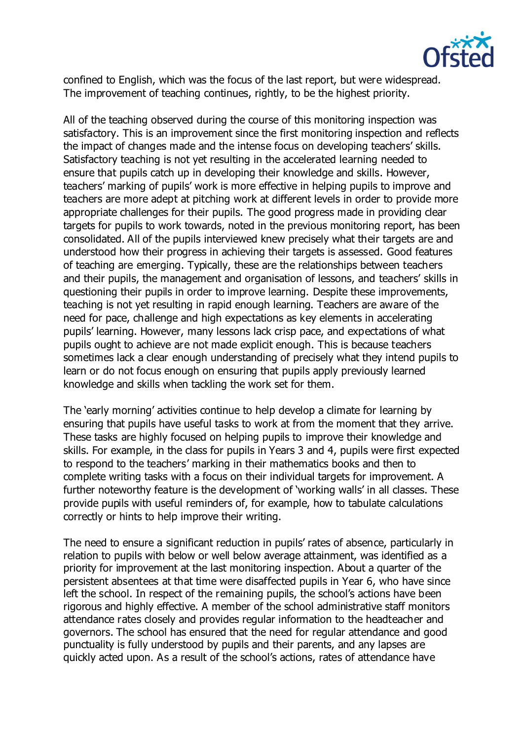

confined to English, which was the focus of the last report, but were widespread. The improvement of teaching continues, rightly, to be the highest priority.

All of the teaching observed during the course of this monitoring inspection was satisfactory. This is an improvement since the first monitoring inspection and reflects the impact of changes made and the intense focus on developing teachers' skills. Satisfactory teaching is not yet resulting in the accelerated learning needed to ensure that pupils catch up in developing their knowledge and skills. However, teachers' marking of pupils' work is more effective in helping pupils to improve and teachers are more adept at pitching work at different levels in order to provide more appropriate challenges for their pupils. The good progress made in providing clear targets for pupils to work towards, noted in the previous monitoring report, has been consolidated. All of the pupils interviewed knew precisely what their targets are and understood how their progress in achieving their targets is assessed. Good features of teaching are emerging. Typically, these are the relationships between teachers and their pupils, the management and organisation of lessons, and teachers' skills in questioning their pupils in order to improve learning. Despite these improvements, teaching is not yet resulting in rapid enough learning. Teachers are aware of the need for pace, challenge and high expectations as key elements in accelerating pupils' learning. However, many lessons lack crisp pace, and expectations of what pupils ought to achieve are not made explicit enough. This is because teachers sometimes lack a clear enough understanding of precisely what they intend pupils to learn or do not focus enough on ensuring that pupils apply previously learned knowledge and skills when tackling the work set for them.

The 'early morning' activities continue to help develop a climate for learning by ensuring that pupils have useful tasks to work at from the moment that they arrive. These tasks are highly focused on helping pupils to improve their knowledge and skills. For example, in the class for pupils in Years 3 and 4, pupils were first expected to respond to the teachers' marking in their mathematics books and then to complete writing tasks with a focus on their individual targets for improvement. A further noteworthy feature is the development of 'working walls' in all classes. These provide pupils with useful reminders of, for example, how to tabulate calculations correctly or hints to help improve their writing.

The need to ensure a significant reduction in pupils' rates of absence, particularly in relation to pupils with below or well below average attainment, was identified as a priority for improvement at the last monitoring inspection. About a quarter of the persistent absentees at that time were disaffected pupils in Year 6, who have since left the school. In respect of the remaining pupils, the school's actions have been rigorous and highly effective. A member of the school administrative staff monitors attendance rates closely and provides regular information to the headteacher and governors. The school has ensured that the need for regular attendance and good punctuality is fully understood by pupils and their parents, and any lapses are quickly acted upon. As a result of the school's actions, rates of attendance have